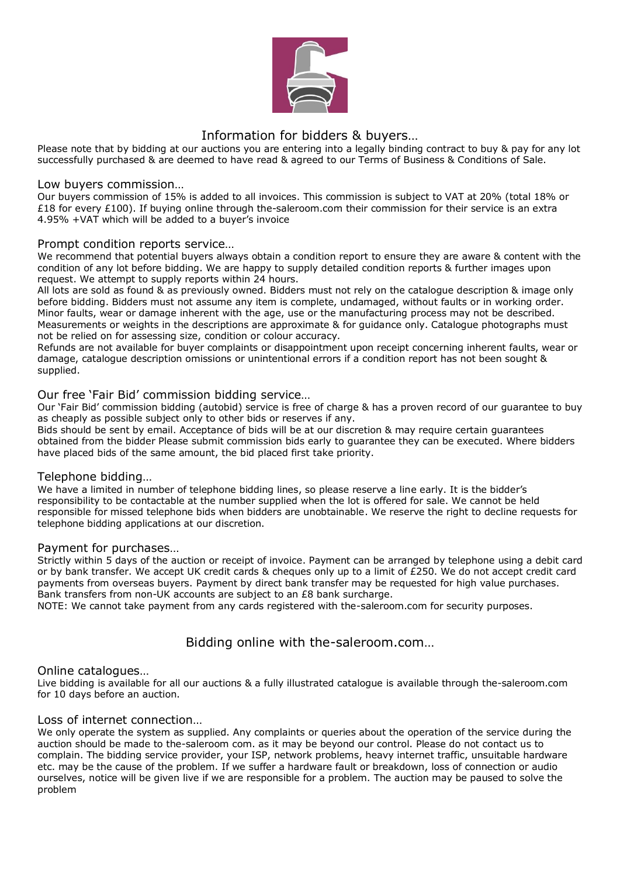

# Information for bidders & buyers…

Please note that by bidding at our auctions you are entering into a legally binding contract to buy & pay for any lot successfully purchased & are deemed to have read & agreed to our Terms of Business & Conditions of Sale.

#### Low buyers commission…

Our buyers commission of 15% is added to all invoices. This commission is subject to VAT at 20% (total 18% or £18 for every £100). If buying online through the-saleroom.com their commission for their service is an extra 4.95% +VAT which will be added to a buyer's invoice

# Prompt condition reports service…

We recommend that potential buyers always obtain a condition report to ensure they are aware & content with the condition of any lot before bidding. We are happy to supply detailed condition reports & further images upon request. We attempt to supply reports within 24 hours.

All lots are sold as found & as previously owned. Bidders must not rely on the catalogue description & image only before bidding. Bidders must not assume any item is complete, undamaged, without faults or in working order. Minor faults, wear or damage inherent with the age, use or the manufacturing process may not be described. Measurements or weights in the descriptions are approximate & for guidance only. Catalogue photographs must not be relied on for assessing size, condition or colour accuracy.

Refunds are not available for buyer complaints or disappointment upon receipt concerning inherent faults, wear or damage, catalogue description omissions or unintentional errors if a condition report has not been sought & supplied.

# Our free 'Fair Bid' commission bidding service…

Our 'Fair Bid' commission bidding (autobid) service is free of charge & has a proven record of our guarantee to buy as cheaply as possible subject only to other bids or reserves if any.

Bids should be sent by email. Acceptance of bids will be at our discretion & may require certain guarantees obtained from the bidder Please submit commission bids early to guarantee they can be executed. Where bidders have placed bids of the same amount, the bid placed first take priority.

#### Telephone bidding…

We have a limited in number of telephone bidding lines, so please reserve a line early. It is the bidder's responsibility to be contactable at the number supplied when the lot is offered for sale. We cannot be held responsible for missed telephone bids when bidders are unobtainable. We reserve the right to decline requests for telephone bidding applications at our discretion.

#### Payment for purchases…

Strictly within 5 days of the auction or receipt of invoice. Payment can be arranged by telephone using a debit card or by bank transfer. We accept UK credit cards & cheques only up to a limit of £250. We do not accept credit card payments from overseas buyers. Payment by direct bank transfer may be requested for high value purchases. Bank transfers from non-UK accounts are subject to an £8 bank surcharge.

NOTE: We cannot take payment from any cards registered with the-saleroom.com for security purposes.

# Bidding online with the-saleroom.com…

#### Online catalogues…

Live bidding is available for all our auctions & a fully illustrated catalogue is available through the-saleroom.com for 10 days before an auction.

#### Loss of internet connection…

We only operate the system as supplied. Any complaints or queries about the operation of the service during the auction should be made to the-saleroom com. as it may be beyond our control. Please do not contact us to complain. The bidding service provider, your ISP, network problems, heavy internet traffic, unsuitable hardware etc. may be the cause of the problem. If we suffer a hardware fault or breakdown, loss of connection or audio ourselves, notice will be given live if we are responsible for a problem. The auction may be paused to solve the problem